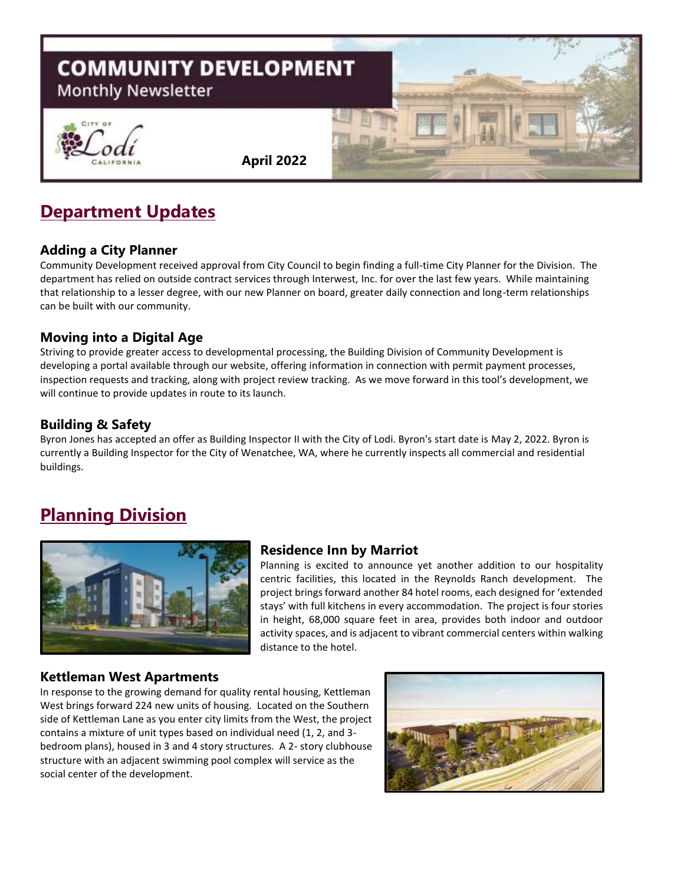

# **Department Updates**

#### **Adding a City Planner**

Community Development received approval from City Council to begin finding a full-time City Planner for the Division. The department has relied on outside contract services through Interwest, Inc. for over the last few years. While maintaining that relationship to a lesser degree, with our new Planner on board, greater daily connection and long-term relationships can be built with our community.

### **Moving into a Digital Age**

Striving to provide greater access to developmental processing, the Building Division of Community Development is developing a portal available through our website, offering information in connection with permit payment processes, inspection requests and tracking, along with project review tracking. As we move forward in this tool's development, we will continue to provide updates in route to its launch.

### **Building & Safety**

Byron Jones has accepted an offer as Building Inspector II with the City of Lodi. Byron's start date is May 2, 2022. Byron is currently a Building Inspector for the City of Wenatchee, WA, where he currently inspects all commercial and residential buildings.

# **Planning Division**



#### **Residence Inn by Marriot**

Planning is excited to announce yet another addition to our hospitality centric facilities, this located in the Reynolds Ranch development. The project brings forward another 84 hotel rooms, each designed for 'extended stays' with full kitchens in every accommodation. The project is four stories in height, 68,000 square feet in area, provides both indoor and outdoor activity spaces, and is adjacent to vibrant commercial centers within walking distance to the hotel.

#### **Kettleman West Apartments**

In response to the growing demand for quality rental housing, Kettleman West brings forward 224 new units of housing. Located on the Southern side of Kettleman Lane as you enter city limits from the West, the project contains a mixture of unit types based on individual need (1, 2, and 3 bedroom plans), housed in 3 and 4 story structures. A 2- story clubhouse structure with an adjacent swimming pool complex will service as the social center of the development.